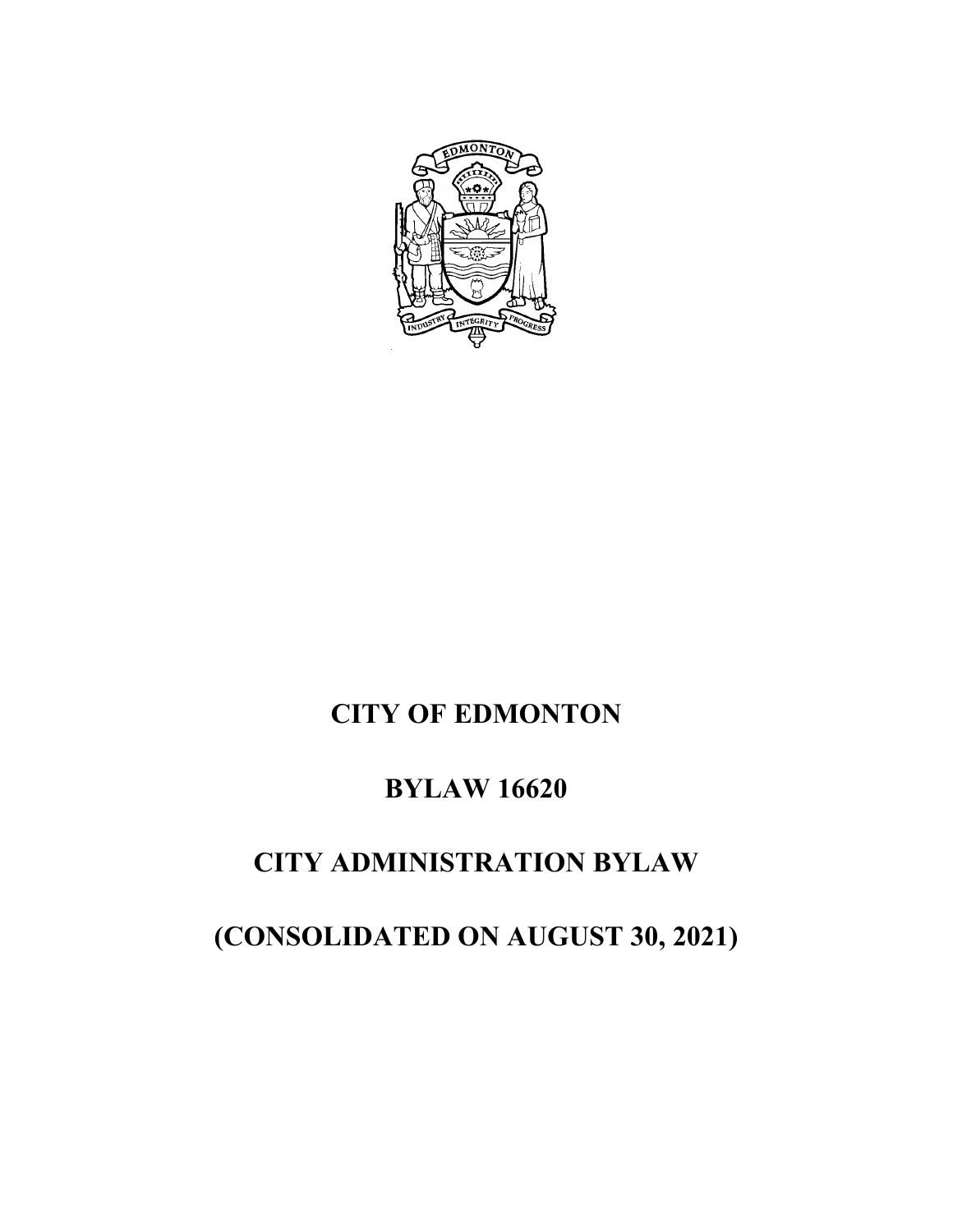

# **CITY OF EDMONTON**

# **BYLAW 16620**

## **CITY ADMINISTRATION BYLAW**

**(CONSOLIDATED ON AUGUST 30, 2021)**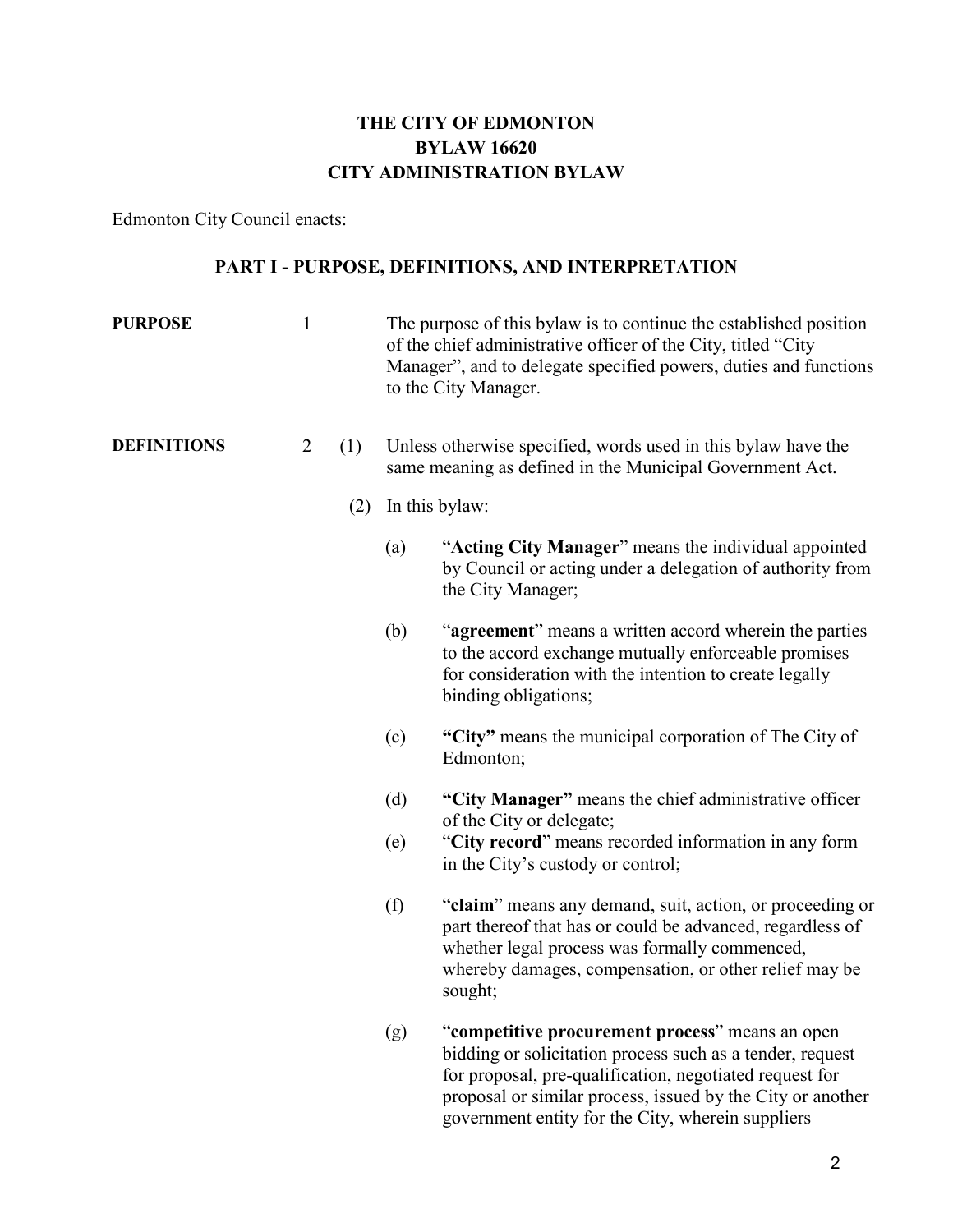## **THE CITY OF EDMONTON BYLAW 16620 CITY ADMINISTRATION BYLAW**

Edmonton City Council enacts:

## **PART I - PURPOSE, DEFINITIONS, AND INTERPRETATION**

| <b>PURPOSE</b>     | $\mathbf{1}$   |     |     | The purpose of this bylaw is to continue the established position<br>of the chief administrative officer of the City, titled "City<br>Manager", and to delegate specified powers, duties and functions<br>to the City Manager.                                                             |
|--------------------|----------------|-----|-----|--------------------------------------------------------------------------------------------------------------------------------------------------------------------------------------------------------------------------------------------------------------------------------------------|
| <b>DEFINITIONS</b> | $\overline{2}$ | (1) |     | Unless otherwise specified, words used in this bylaw have the<br>same meaning as defined in the Municipal Government Act.                                                                                                                                                                  |
|                    |                | (2) |     | In this bylaw:                                                                                                                                                                                                                                                                             |
|                    |                |     | (a) | "Acting City Manager" means the individual appointed<br>by Council or acting under a delegation of authority from<br>the City Manager;                                                                                                                                                     |
|                    |                |     | (b) | "agreement" means a written accord wherein the parties<br>to the accord exchange mutually enforceable promises<br>for consideration with the intention to create legally<br>binding obligations;                                                                                           |
|                    |                |     | (c) | "City" means the municipal corporation of The City of<br>Edmonton;                                                                                                                                                                                                                         |
|                    |                |     | (d) | "City Manager" means the chief administrative officer<br>of the City or delegate;                                                                                                                                                                                                          |
|                    |                |     | (e) | "City record" means recorded information in any form<br>in the City's custody or control;                                                                                                                                                                                                  |
|                    |                |     | (f) | "claim" means any demand, suit, action, or proceeding or<br>part thereof that has or could be advanced, regardless of<br>whether legal process was formally commenced,<br>whereby damages, compensation, or other relief may be<br>sought;                                                 |
|                    |                |     | (g) | "competitive procurement process" means an open<br>bidding or solicitation process such as a tender, request<br>for proposal, pre-qualification, negotiated request for<br>proposal or similar process, issued by the City or another<br>government entity for the City, wherein suppliers |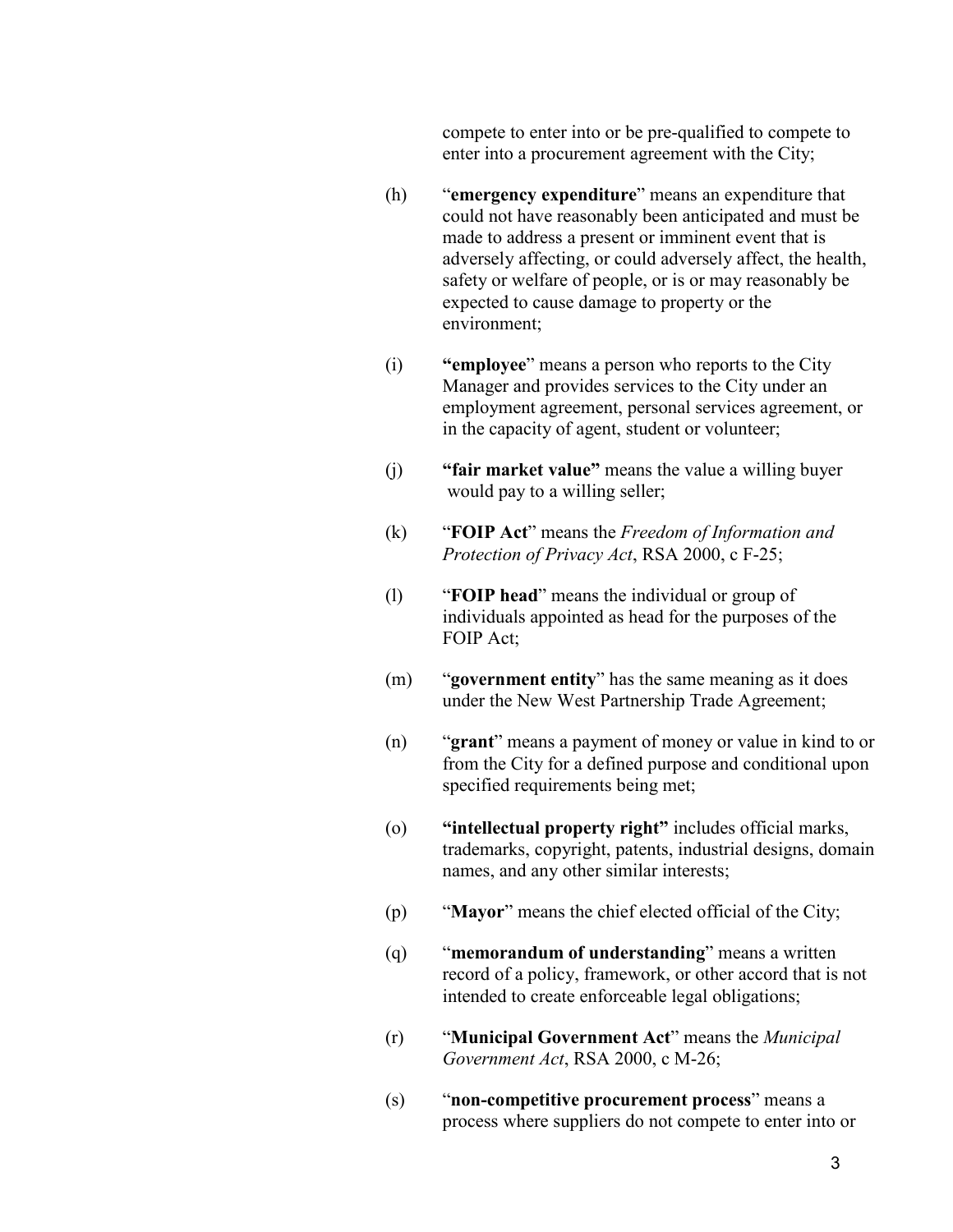compete to enter into or be pre-qualified to compete to enter into a procurement agreement with the City;

- (h) "**emergency expenditure**" means an expenditure that could not have reasonably been anticipated and must be made to address a present or imminent event that is adversely affecting, or could adversely affect, the health, safety or welfare of people, or is or may reasonably be expected to cause damage to property or the environment;
- (i) **"employee**" means a person who reports to the City Manager and provides services to the City under an employment agreement, personal services agreement, or in the capacity of agent, student or volunteer;
- (j) **"fair market value"** means the value a willing buyer would pay to a willing seller;
- (k) "**FOIP Act**" means the *Freedom of Information and Protection of Privacy Act*, RSA 2000, c F-25;
- (l) "**FOIP head**" means the individual or group of individuals appointed as head for the purposes of the FOIP Act;
- (m) "**government entity**" has the same meaning as it does under the New West Partnership Trade Agreement;
- (n) "**grant**" means a payment of money or value in kind to or from the City for a defined purpose and conditional upon specified requirements being met;
- (o) **"intellectual property right"** includes official marks, trademarks, copyright, patents, industrial designs, domain names, and any other similar interests;
- (p) "**Mayor**" means the chief elected official of the City;
- (q) "**memorandum of understanding**" means a written record of a policy, framework, or other accord that is not intended to create enforceable legal obligations;
- (r) "**Municipal Government Act**" means the *Municipal Government Act*, RSA 2000, c M-26;
- (s) "**non-competitive procurement process**" means a process where suppliers do not compete to enter into or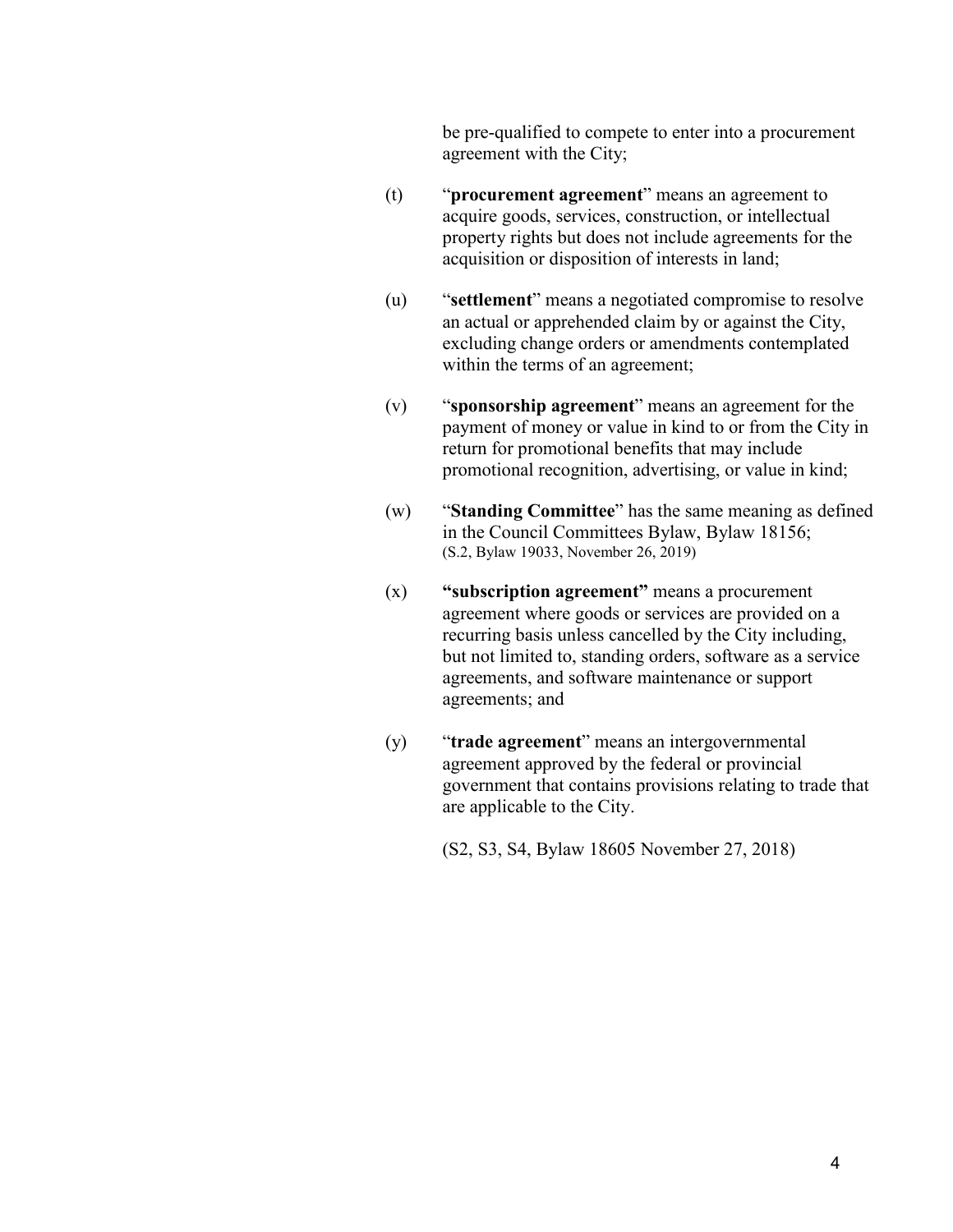be pre-qualified to compete to enter into a procurement agreement with the City;

- (t) "**procurement agreement**" means an agreement to acquire goods, services, construction, or intellectual property rights but does not include agreements for the acquisition or disposition of interests in land;
- (u) "**settlement**" means a negotiated compromise to resolve an actual or apprehended claim by or against the City, excluding change orders or amendments contemplated within the terms of an agreement;
- (v) "**sponsorship agreement**" means an agreement for the payment of money or value in kind to or from the City in return for promotional benefits that may include promotional recognition, advertising, or value in kind;
- (w) "**Standing Committee**" has the same meaning as defined in the Council Committees Bylaw, Bylaw 18156; (S.2, Bylaw 19033, November 26, 2019)
- (x) **"subscription agreement"** means a procurement agreement where goods or services are provided on a recurring basis unless cancelled by the City including, but not limited to, standing orders, software as a service agreements, and software maintenance or support agreements; and
- (y) "**trade agreement**" means an intergovernmental agreement approved by the federal or provincial government that contains provisions relating to trade that are applicable to the City.
	- (S2, S3, S4, Bylaw 18605 November 27, 2018)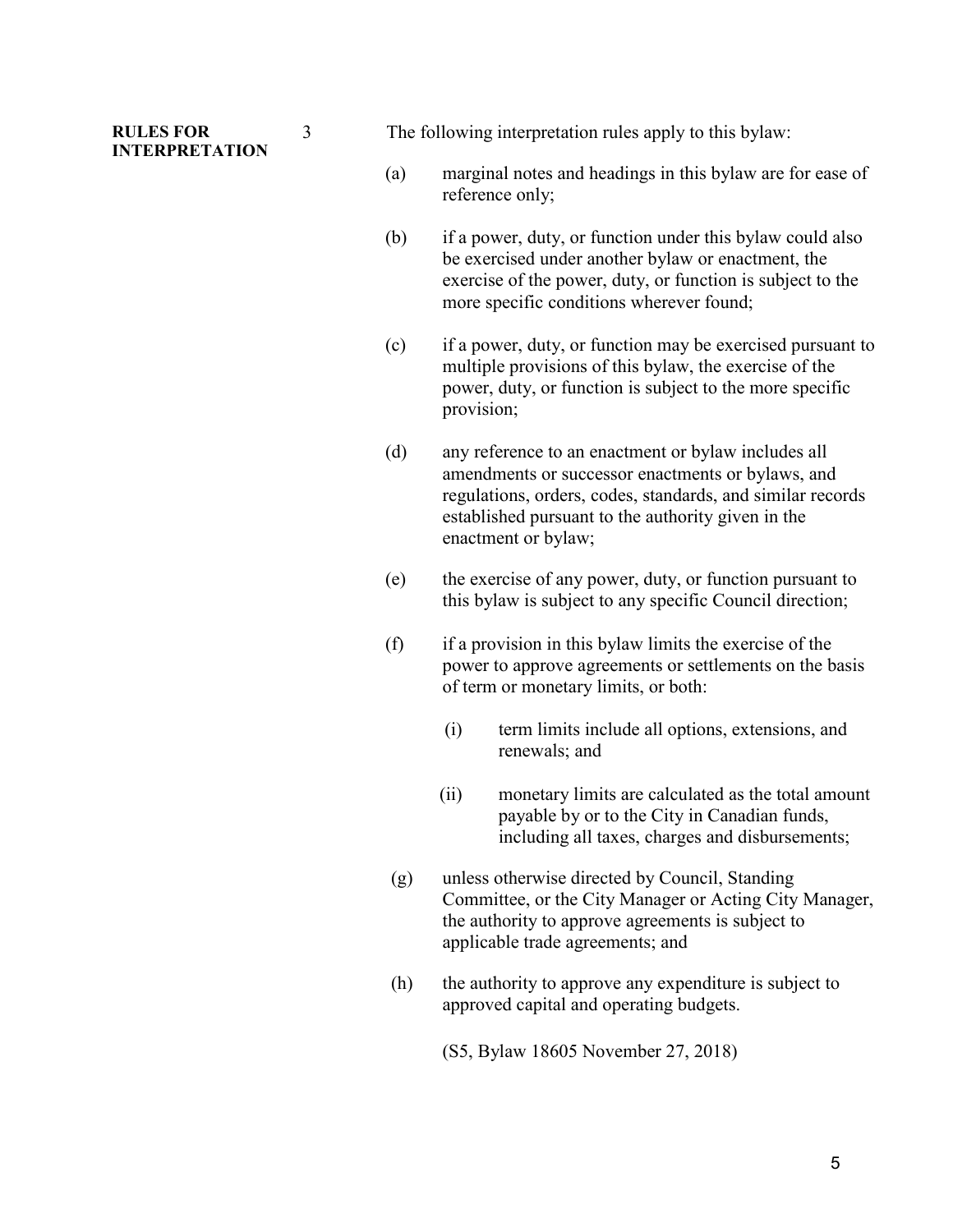#### **RULES FOR INTERPRETATION**

3 The following interpretation rules apply to this bylaw:

- (a) marginal notes and headings in this bylaw are for ease of reference only;
- (b) if a power, duty, or function under this bylaw could also be exercised under another bylaw or enactment, the exercise of the power, duty, or function is subject to the more specific conditions wherever found;
- (c) if a power, duty, or function may be exercised pursuant to multiple provisions of this bylaw, the exercise of the power, duty, or function is subject to the more specific provision;
- (d) any reference to an enactment or bylaw includes all amendments or successor enactments or bylaws, and regulations, orders, codes, standards, and similar records established pursuant to the authority given in the enactment or bylaw;
- (e) the exercise of any power, duty, or function pursuant to this bylaw is subject to any specific Council direction;
- (f) if a provision in this bylaw limits the exercise of the power to approve agreements or settlements on the basis of term or monetary limits, or both:
	- (i) term limits include all options, extensions, and renewals; and
	- (ii) monetary limits are calculated as the total amount payable by or to the City in Canadian funds, including all taxes, charges and disbursements;
- (g) unless otherwise directed by Council, Standing Committee, or the City Manager or Acting City Manager, the authority to approve agreements is subject to applicable trade agreements; and
- (h) the authority to approve any expenditure is subject to approved capital and operating budgets.
	- (S5, Bylaw 18605 November 27, 2018)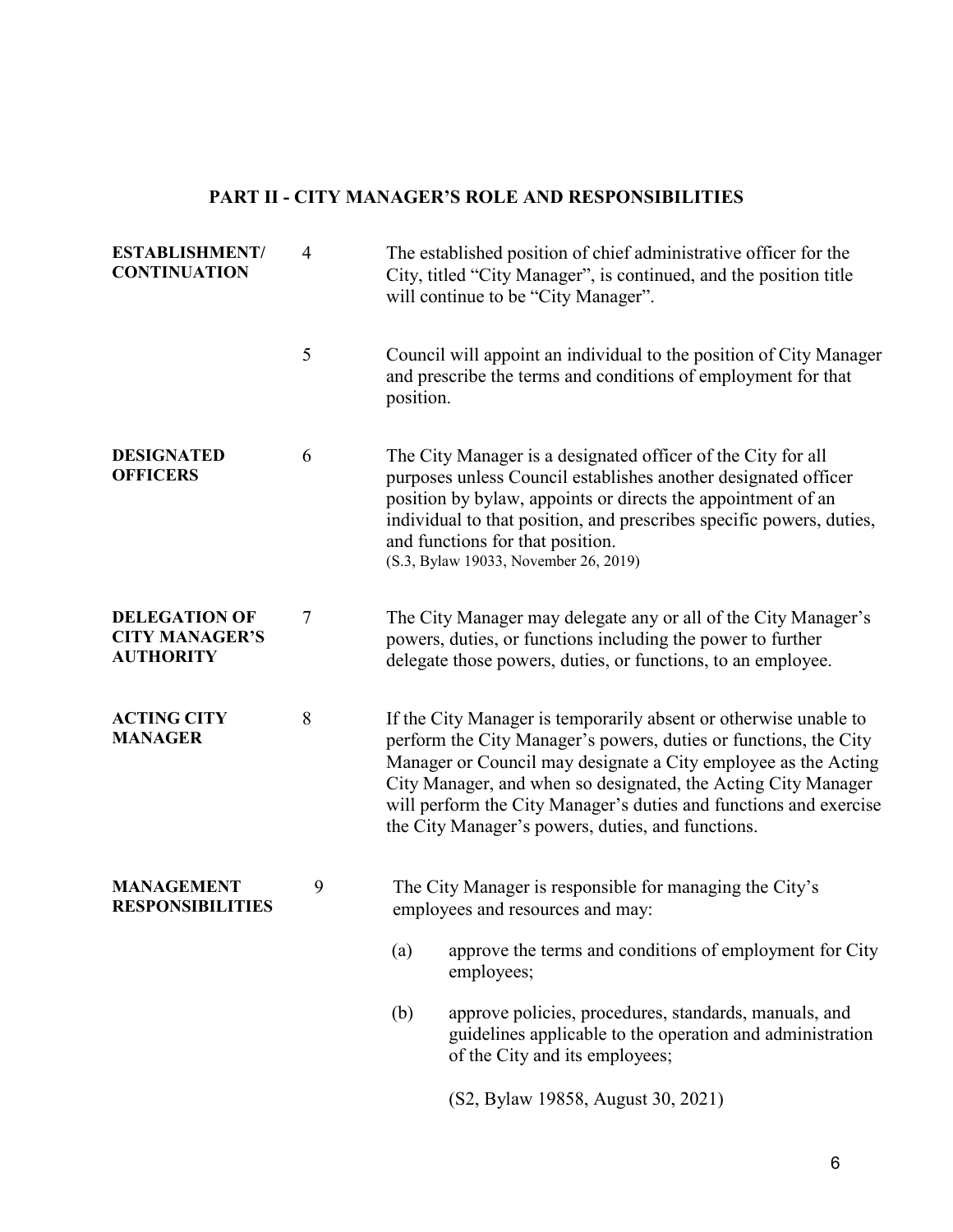## **PART II - CITY MANAGER'S ROLE AND RESPONSIBILITIES**

| <b>ESTABLISHMENT/</b><br><b>CONTINUATION</b>                      | $\overline{4}$ | The established position of chief administrative officer for the<br>City, titled "City Manager", is continued, and the position title<br>will continue to be "City Manager".                                                                                                                                                                                                                      |
|-------------------------------------------------------------------|----------------|---------------------------------------------------------------------------------------------------------------------------------------------------------------------------------------------------------------------------------------------------------------------------------------------------------------------------------------------------------------------------------------------------|
|                                                                   | 5              | Council will appoint an individual to the position of City Manager<br>and prescribe the terms and conditions of employment for that<br>position.                                                                                                                                                                                                                                                  |
| <b>DESIGNATED</b><br><b>OFFICERS</b>                              | 6              | The City Manager is a designated officer of the City for all<br>purposes unless Council establishes another designated officer<br>position by bylaw, appoints or directs the appointment of an<br>individual to that position, and prescribes specific powers, duties,<br>and functions for that position.<br>(S.3, Bylaw 19033, November 26, 2019)                                               |
| <b>DELEGATION OF</b><br><b>CITY MANAGER'S</b><br><b>AUTHORITY</b> | 7              | The City Manager may delegate any or all of the City Manager's<br>powers, duties, or functions including the power to further<br>delegate those powers, duties, or functions, to an employee.                                                                                                                                                                                                     |
| <b>ACTING CITY</b><br><b>MANAGER</b>                              | 8              | If the City Manager is temporarily absent or otherwise unable to<br>perform the City Manager's powers, duties or functions, the City<br>Manager or Council may designate a City employee as the Acting<br>City Manager, and when so designated, the Acting City Manager<br>will perform the City Manager's duties and functions and exercise<br>the City Manager's powers, duties, and functions. |
| <b>MANAGEMENT</b><br><b>RESPONSIBILITIES</b>                      | 9              | The City Manager is responsible for managing the City's<br>employees and resources and may:                                                                                                                                                                                                                                                                                                       |
|                                                                   |                | approve the terms and conditions of employment for City<br>(a)<br>employees;                                                                                                                                                                                                                                                                                                                      |
|                                                                   |                | (b)<br>approve policies, procedures, standards, manuals, and<br>guidelines applicable to the operation and administration<br>of the City and its employees;                                                                                                                                                                                                                                       |
|                                                                   |                | (S2, Bylaw 19858, August 30, 2021)                                                                                                                                                                                                                                                                                                                                                                |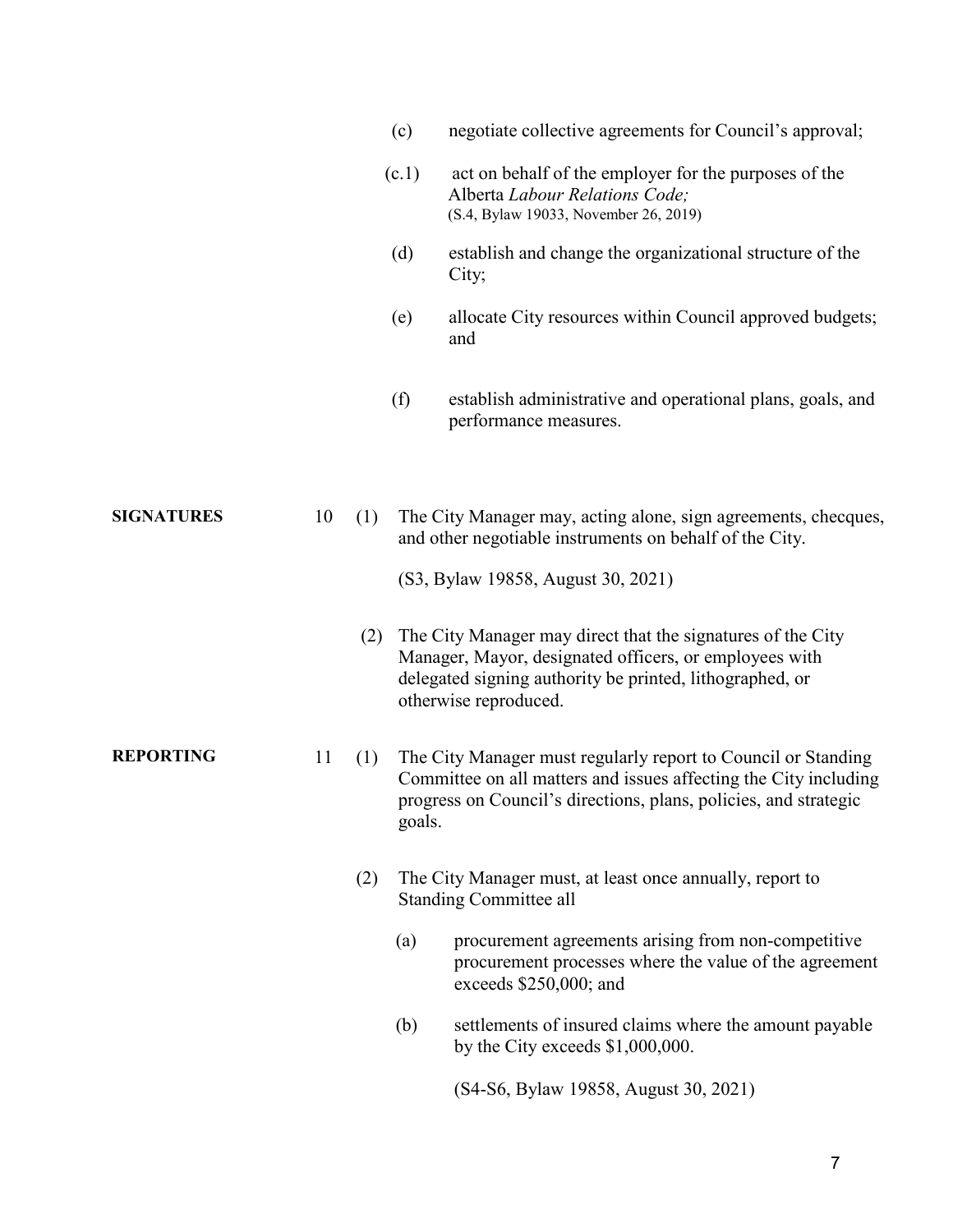|                   |    |     | (c)    | negotiate collective agreements for Council's approval;                                                                                                                                                    |
|-------------------|----|-----|--------|------------------------------------------------------------------------------------------------------------------------------------------------------------------------------------------------------------|
|                   |    |     | (c.1)  | act on behalf of the employer for the purposes of the<br>Alberta Labour Relations Code;<br>(S.4, Bylaw 19033, November 26, 2019)                                                                           |
|                   |    |     | (d)    | establish and change the organizational structure of the<br>City;                                                                                                                                          |
|                   |    |     | (e)    | allocate City resources within Council approved budgets;<br>and                                                                                                                                            |
|                   |    |     | (f)    | establish administrative and operational plans, goals, and<br>performance measures.                                                                                                                        |
| <b>SIGNATURES</b> | 10 | (1) |        | The City Manager may, acting alone, sign agreements, checques,<br>and other negotiable instruments on behalf of the City.                                                                                  |
|                   |    |     |        | (S3, Bylaw 19858, August 30, 2021)                                                                                                                                                                         |
|                   |    | (2) |        | The City Manager may direct that the signatures of the City<br>Manager, Mayor, designated officers, or employees with<br>delegated signing authority be printed, lithographed, or<br>otherwise reproduced. |
| <b>REPORTING</b>  | 11 | (1) | goals. | The City Manager must regularly report to Council or Standing<br>Committee on all matters and issues affecting the City including<br>progress on Council's directions, plans, policies, and strategic      |
|                   |    | (2) |        | The City Manager must, at least once annually, report to<br><b>Standing Committee all</b>                                                                                                                  |
|                   |    |     | (a)    | procurement agreements arising from non-competitive<br>procurement processes where the value of the agreement<br>exceeds \$250,000; and                                                                    |
|                   |    |     | (b)    | settlements of insured claims where the amount payable<br>by the City exceeds $$1,000,000$ .                                                                                                               |
|                   |    |     |        | (S4-S6, Bylaw 19858, August 30, 2021)                                                                                                                                                                      |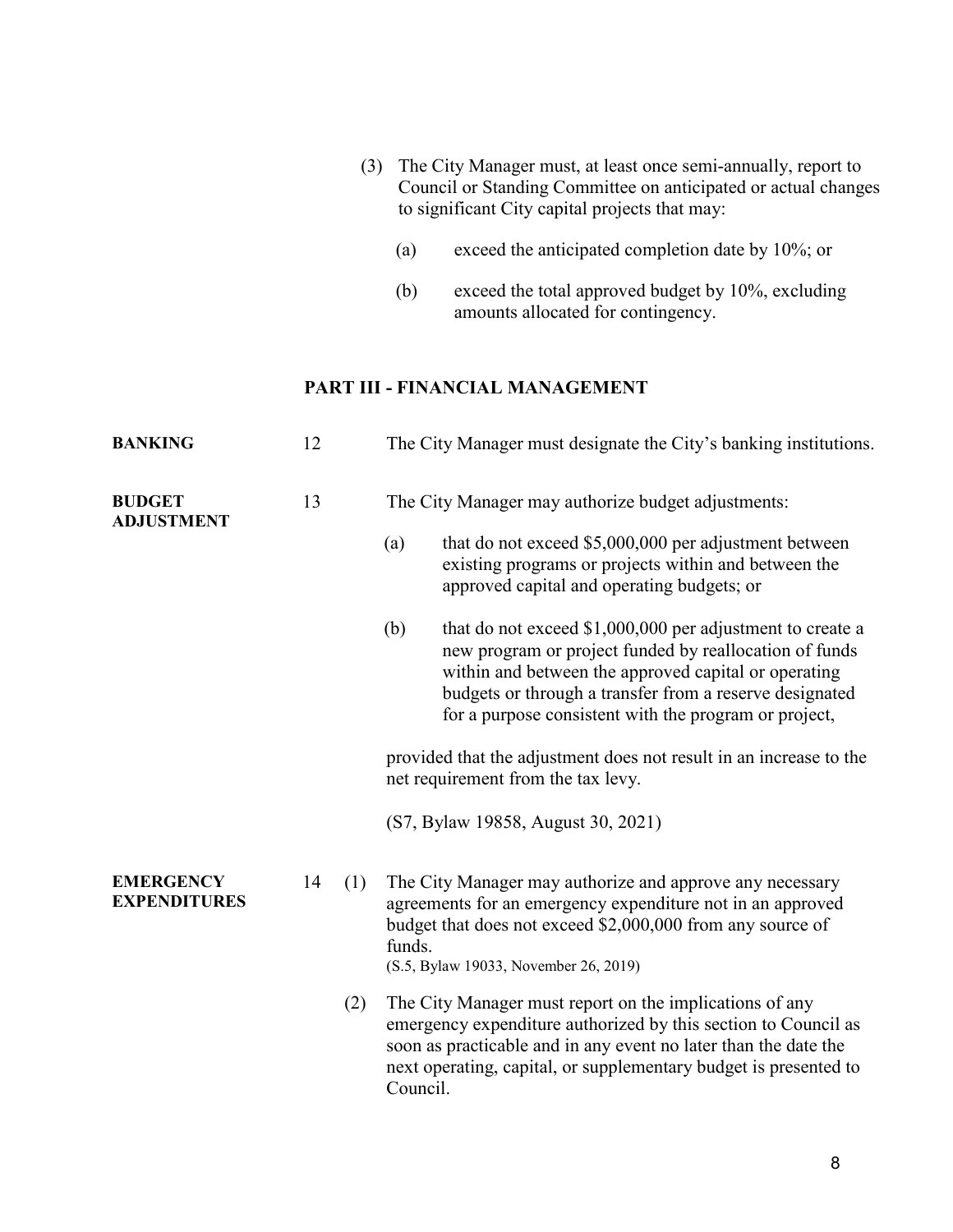- (3) The City Manager must, at least once semi-annually, report to Council or Standing Committee on anticipated or actual changes to significant City capital projects that may:
	- (a) exceed the anticipated completion date by 10%; or
	- (b) exceed the total approved budget by 10%, excluding amounts allocated for contingency.

## **PART III - FINANCIAL MANAGEMENT**

| <b>BANKING</b>                          | 12 |     |                                                    | The City Manager must designate the City's banking institutions.                                                                                                                                                                                                                                |  |
|-----------------------------------------|----|-----|----------------------------------------------------|-------------------------------------------------------------------------------------------------------------------------------------------------------------------------------------------------------------------------------------------------------------------------------------------------|--|
| <b>BUDGET</b><br><b>ADJUSTMENT</b>      | 13 |     | The City Manager may authorize budget adjustments: |                                                                                                                                                                                                                                                                                                 |  |
|                                         |    |     | (a)                                                | that do not exceed \$5,000,000 per adjustment between<br>existing programs or projects within and between the<br>approved capital and operating budgets; or                                                                                                                                     |  |
|                                         |    |     | (b)                                                | that do not exceed \$1,000,000 per adjustment to create a<br>new program or project funded by reallocation of funds<br>within and between the approved capital or operating<br>budgets or through a transfer from a reserve designated<br>for a purpose consistent with the program or project, |  |
|                                         |    |     |                                                    | provided that the adjustment does not result in an increase to the<br>net requirement from the tax levy.                                                                                                                                                                                        |  |
|                                         |    |     |                                                    | (S7, Bylaw 19858, August 30, 2021)                                                                                                                                                                                                                                                              |  |
| <b>EMERGENCY</b><br><b>EXPENDITURES</b> | 14 | (1) | funds.                                             | The City Manager may authorize and approve any necessary<br>agreements for an emergency expenditure not in an approved<br>budget that does not exceed \$2,000,000 from any source of<br>(S.5, Bylaw 19033, November 26, 2019)                                                                   |  |
|                                         |    | (2) | Council.                                           | The City Manager must report on the implications of any<br>emergency expenditure authorized by this section to Council as<br>soon as practicable and in any event no later than the date the<br>next operating, capital, or supplementary budget is presented to                                |  |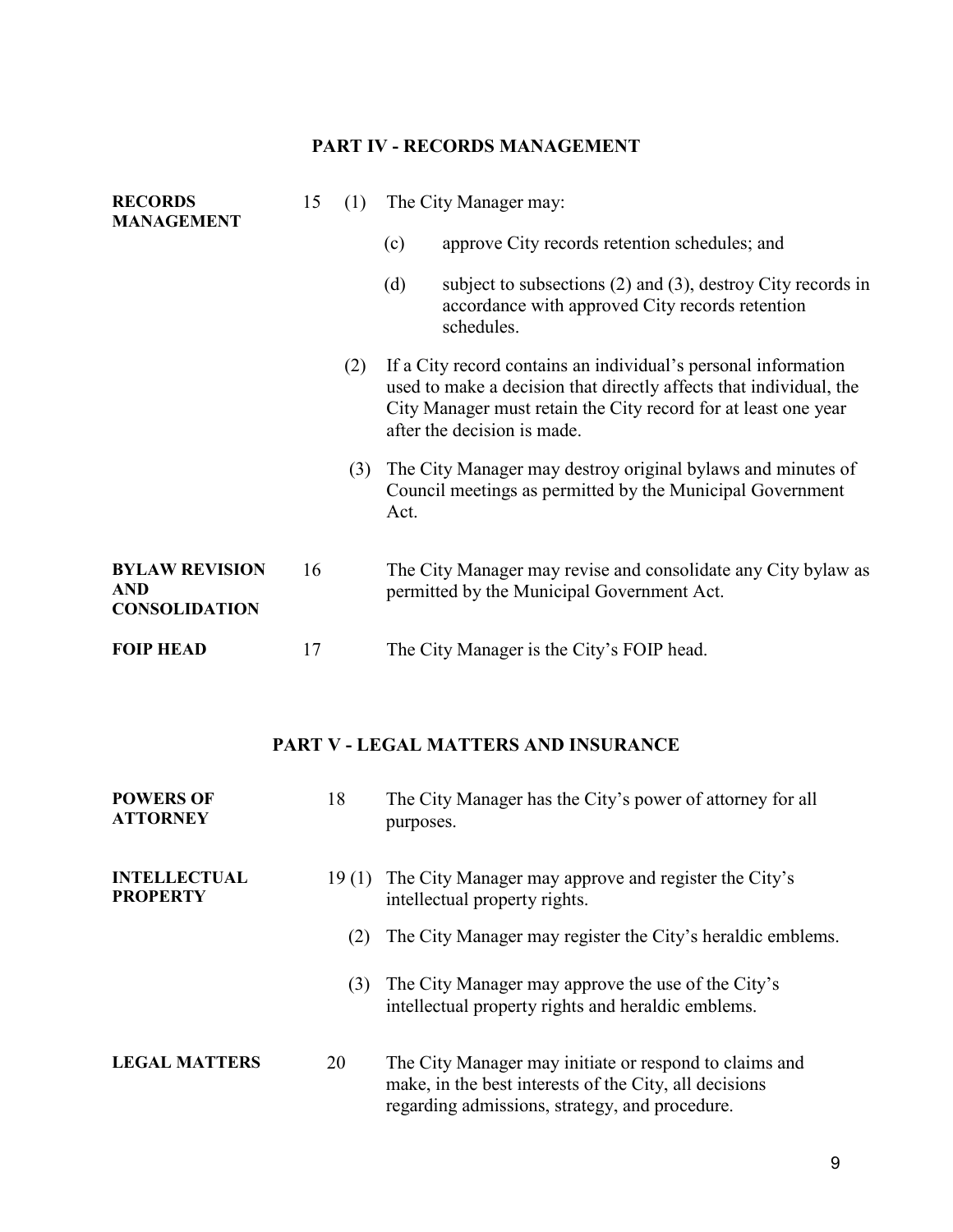## **PART IV - RECORDS MANAGEMENT**

| <b>RECORDS</b><br><b>MANAGEMENT</b>                         | 15 | (1) | The City Manager may: |                                                                                                                                                                                                                                       |
|-------------------------------------------------------------|----|-----|-----------------------|---------------------------------------------------------------------------------------------------------------------------------------------------------------------------------------------------------------------------------------|
|                                                             |    |     | (c)                   | approve City records retention schedules; and                                                                                                                                                                                         |
|                                                             |    |     | (d)                   | subject to subsections $(2)$ and $(3)$ , destroy City records in<br>accordance with approved City records retention<br>schedules.                                                                                                     |
|                                                             |    | (2) |                       | If a City record contains an individual's personal information<br>used to make a decision that directly affects that individual, the<br>City Manager must retain the City record for at least one year<br>after the decision is made. |
|                                                             |    | (3) | Act.                  | The City Manager may destroy original bylaws and minutes of<br>Council meetings as permitted by the Municipal Government                                                                                                              |
| <b>BYLAW REVISION</b><br><b>AND</b><br><b>CONSOLIDATION</b> | 16 |     |                       | The City Manager may revise and consolidate any City bylaw as<br>permitted by the Municipal Government Act.                                                                                                                           |
| <b>FOIP HEAD</b>                                            | 17 |     |                       | The City Manager is the City's FOIP head.                                                                                                                                                                                             |

## **PART V - LEGAL MATTERS AND INSURANCE**

| <b>POWERS OF</b><br><b>ATTORNEY</b>    | 18    | The City Manager has the City's power of attorney for all<br>purposes.                                                                                             |
|----------------------------------------|-------|--------------------------------------------------------------------------------------------------------------------------------------------------------------------|
| <b>INTELLECTUAL</b><br><b>PROPERTY</b> | 19(1) | The City Manager may approve and register the City's<br>intellectual property rights.                                                                              |
|                                        | (2)   | The City Manager may register the City's heraldic emblems.                                                                                                         |
|                                        | (3)   | The City Manager may approve the use of the City's<br>intellectual property rights and heraldic emblems.                                                           |
| <b>LEGAL MATTERS</b>                   | 20    | The City Manager may initiate or respond to claims and<br>make, in the best interests of the City, all decisions<br>regarding admissions, strategy, and procedure. |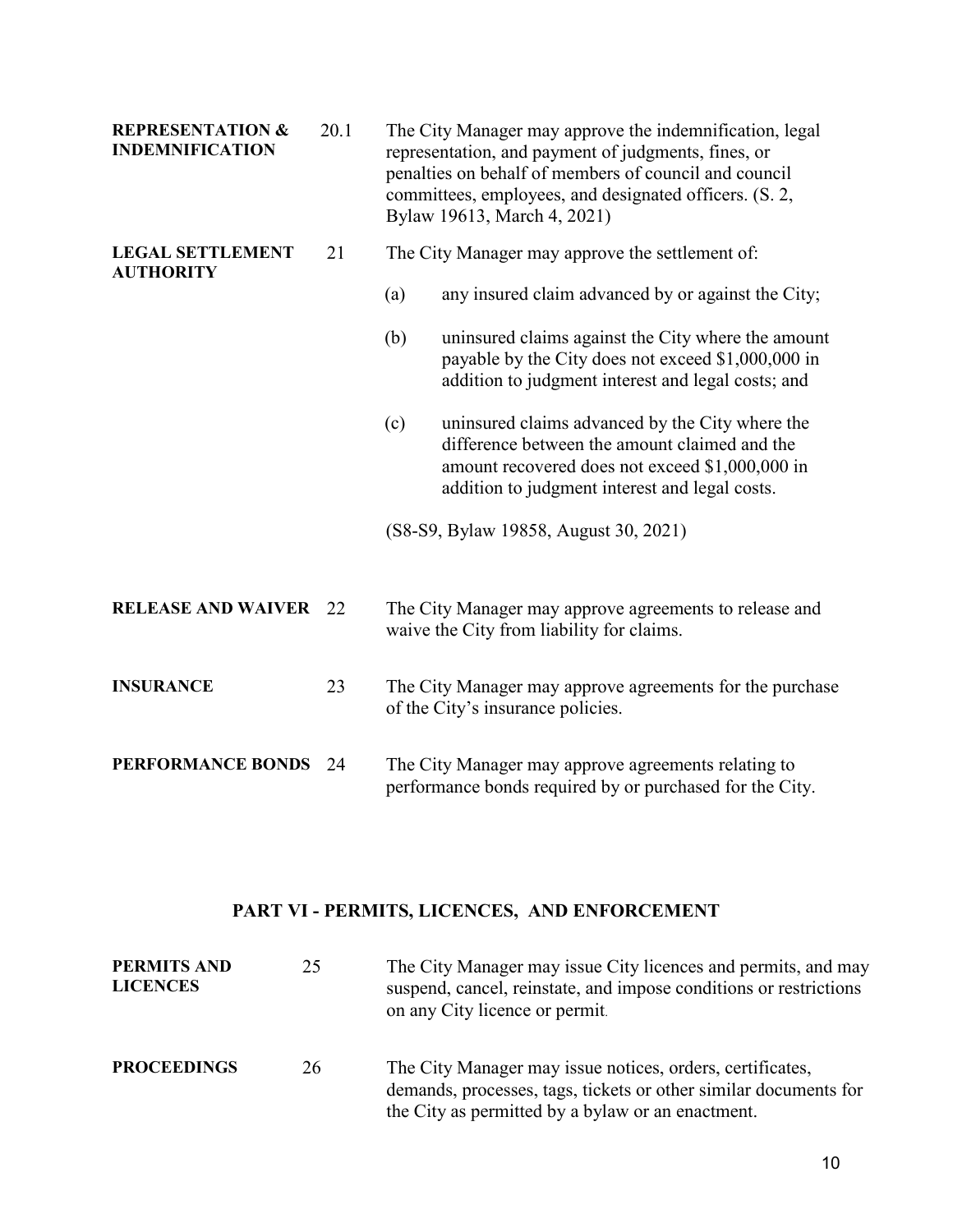| <b>REPRESENTATION &amp;</b><br><b>INDEMNIFICATION</b> | 20.1 | The City Manager may approve the indemnification, legal<br>representation, and payment of judgments, fines, or<br>penalties on behalf of members of council and council<br>committees, employees, and designated officers. (S. 2,<br>Bylaw 19613, March 4, 2021) |  |
|-------------------------------------------------------|------|------------------------------------------------------------------------------------------------------------------------------------------------------------------------------------------------------------------------------------------------------------------|--|
| <b>LEGAL SETTLEMENT</b><br><b>AUTHORITY</b>           | 21   | The City Manager may approve the settlement of:                                                                                                                                                                                                                  |  |
|                                                       |      | any insured claim advanced by or against the City;<br>(a)                                                                                                                                                                                                        |  |
|                                                       |      | (b)<br>uninsured claims against the City where the amount<br>payable by the City does not exceed \$1,000,000 in<br>addition to judgment interest and legal costs; and                                                                                            |  |
|                                                       |      | uninsured claims advanced by the City where the<br>(c)<br>difference between the amount claimed and the<br>amount recovered does not exceed \$1,000,000 in<br>addition to judgment interest and legal costs.                                                     |  |
|                                                       |      | (S8-S9, Bylaw 19858, August 30, 2021)                                                                                                                                                                                                                            |  |
| <b>RELEASE AND WAIVER</b>                             | 22   | The City Manager may approve agreements to release and<br>waive the City from liability for claims.                                                                                                                                                              |  |
| <b>INSURANCE</b>                                      | 23   | The City Manager may approve agreements for the purchase<br>of the City's insurance policies.                                                                                                                                                                    |  |
| <b>PERFORMANCE BONDS</b>                              | 24   | The City Manager may approve agreements relating to<br>performance bonds required by or purchased for the City.                                                                                                                                                  |  |

## **PART VI - PERMITS, LICENCES, AND ENFORCEMENT**

| <b>PERMITS AND</b><br><b>LICENCES</b> | 25 | The City Manager may issue City licences and permits, and may<br>suspend, cancel, reinstate, and impose conditions or restrictions<br>on any City licence or permit.               |
|---------------------------------------|----|------------------------------------------------------------------------------------------------------------------------------------------------------------------------------------|
| <b>PROCEEDINGS</b>                    | 26 | The City Manager may issue notices, orders, certificates,<br>demands, processes, tags, tickets or other similar documents for<br>the City as permitted by a bylaw or an enactment. |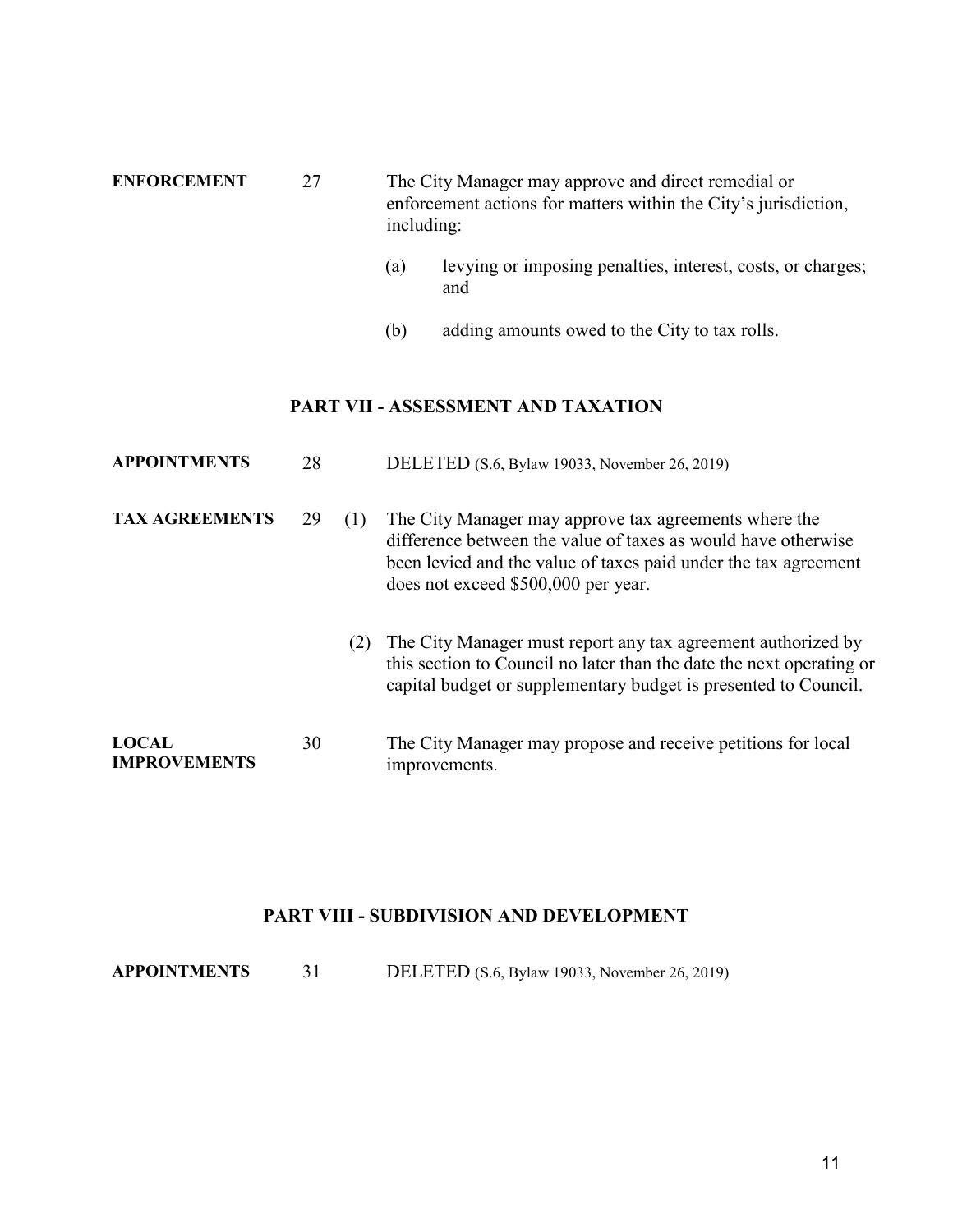| <b>ENFORCEMENT</b> | 27 | The City Manager may approve and direct remedial or<br>enforcement actions for matters within the City's jurisdiction,<br>including: |
|--------------------|----|--------------------------------------------------------------------------------------------------------------------------------------|
|                    |    |                                                                                                                                      |

- (a) levying or imposing penalties, interest, costs, or charges; and
- (b) adding amounts owed to the City to tax rolls.

## **PART VII - ASSESSMENT AND TAXATION**

| <b>APPOINTMENTS</b>                 | 28 |     | DELETED (S.6, Bylaw 19033, November 26, 2019)                                                                                                                                                                                    |
|-------------------------------------|----|-----|----------------------------------------------------------------------------------------------------------------------------------------------------------------------------------------------------------------------------------|
| <b>TAX AGREEMENTS</b>               | 29 | (1) | The City Manager may approve tax agreements where the<br>difference between the value of taxes as would have otherwise<br>been levied and the value of taxes paid under the tax agreement<br>does not exceed \$500,000 per year. |
|                                     |    | (2) | The City Manager must report any tax agreement authorized by<br>this section to Council no later than the date the next operating or<br>capital budget or supplementary budget is presented to Council.                          |
| <b>LOCAL</b><br><b>IMPROVEMENTS</b> | 30 |     | The City Manager may propose and receive petitions for local<br>improvements.                                                                                                                                                    |

#### **PART VIII - SUBDIVISION AND DEVELOPMENT**

**APPOINTMENTS** 31 DELETED (S.6, Bylaw 19033, November 26, 2019)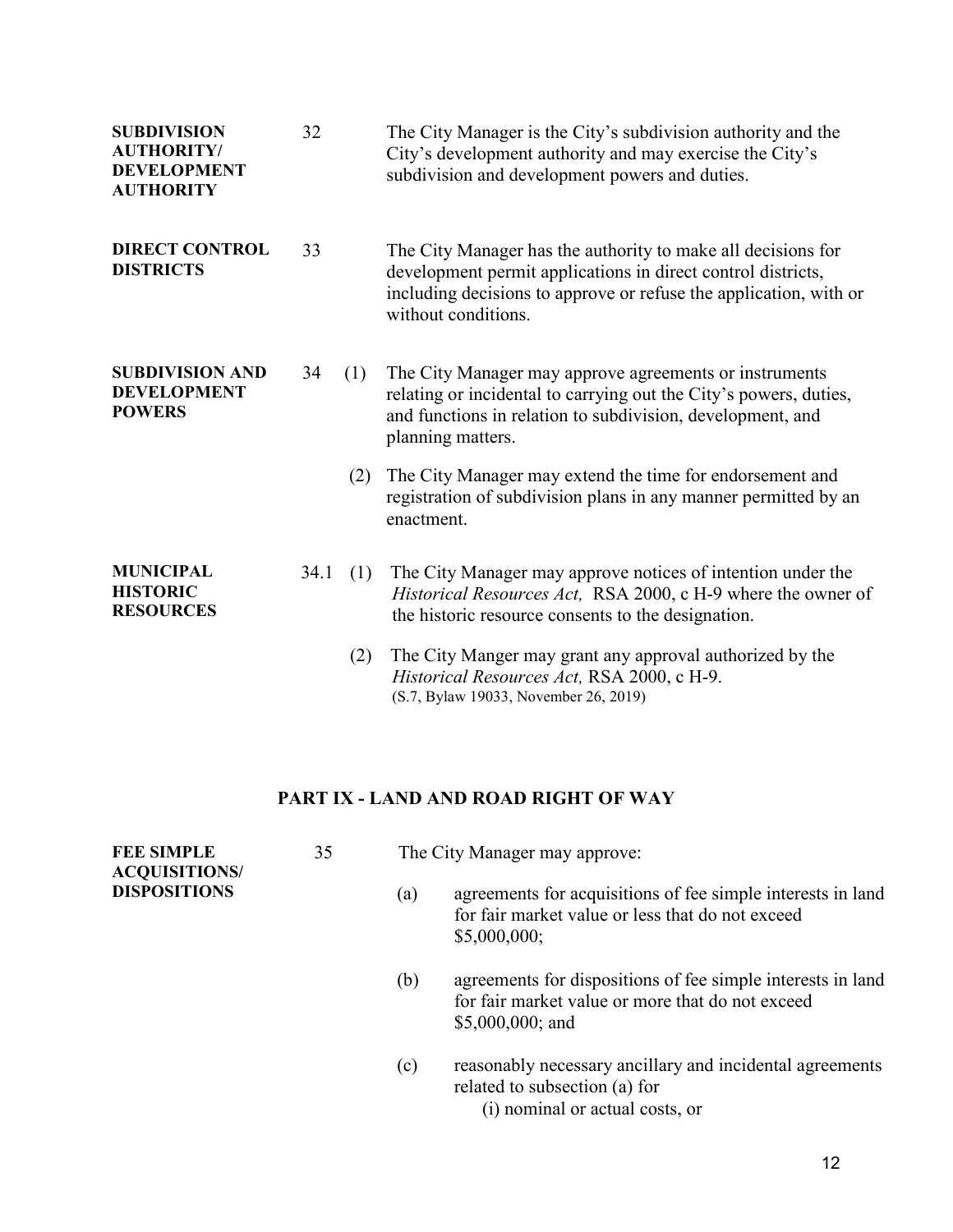| <b>SUBDIVISION</b><br><b>AUTHORITY/</b><br><b>DEVELOPMENT</b><br><b>AUTHORITY</b> | 32   |     | The City Manager is the City's subdivision authority and the<br>City's development authority and may exercise the City's<br>subdivision and development powers and duties.                                               |
|-----------------------------------------------------------------------------------|------|-----|--------------------------------------------------------------------------------------------------------------------------------------------------------------------------------------------------------------------------|
| <b>DIRECT CONTROL</b><br><b>DISTRICTS</b>                                         | 33   |     | The City Manager has the authority to make all decisions for<br>development permit applications in direct control districts,<br>including decisions to approve or refuse the application, with or<br>without conditions. |
| <b>SUBDIVISION AND</b><br><b>DEVELOPMENT</b><br><b>POWERS</b>                     | 34   | (1) | The City Manager may approve agreements or instruments<br>relating or incidental to carrying out the City's powers, duties,<br>and functions in relation to subdivision, development, and<br>planning matters.           |
|                                                                                   |      | (2) | The City Manager may extend the time for endorsement and<br>registration of subdivision plans in any manner permitted by an<br>enactment.                                                                                |
| <b>MUNICIPAL</b><br><b>HISTORIC</b><br><b>RESOURCES</b>                           | 34.1 | (1) | The City Manager may approve notices of intention under the<br>Historical Resources Act, RSA 2000, c H-9 where the owner of<br>the historic resource consents to the designation.                                        |
|                                                                                   |      | (2) | The City Manger may grant any approval authorized by the<br>Historical Resources Act, RSA 2000, c H-9.                                                                                                                   |

## **PART IX - LAND AND ROAD RIGHT OF WAY**

(S.7, Bylaw 19033, November 26, 2019)

| <b>FEE SIMPLE</b><br><b>ACQUISITIONS/</b> | 35 |     | The City Manager may approve:                                                                                                        |
|-------------------------------------------|----|-----|--------------------------------------------------------------------------------------------------------------------------------------|
| <b>DISPOSITIONS</b>                       |    | (a) | agreements for acquisitions of fee simple interests in land<br>for fair market value or less that do not exceed<br>\$5,000,000;      |
|                                           |    | (b) | agreements for dispositions of fee simple interests in land<br>for fair market value or more that do not exceed<br>$$5,000,000;$ and |
|                                           |    | (c) | reasonably necessary ancillary and incidental agreements<br>related to subsection (a) for<br>(i) nominal or actual costs, or         |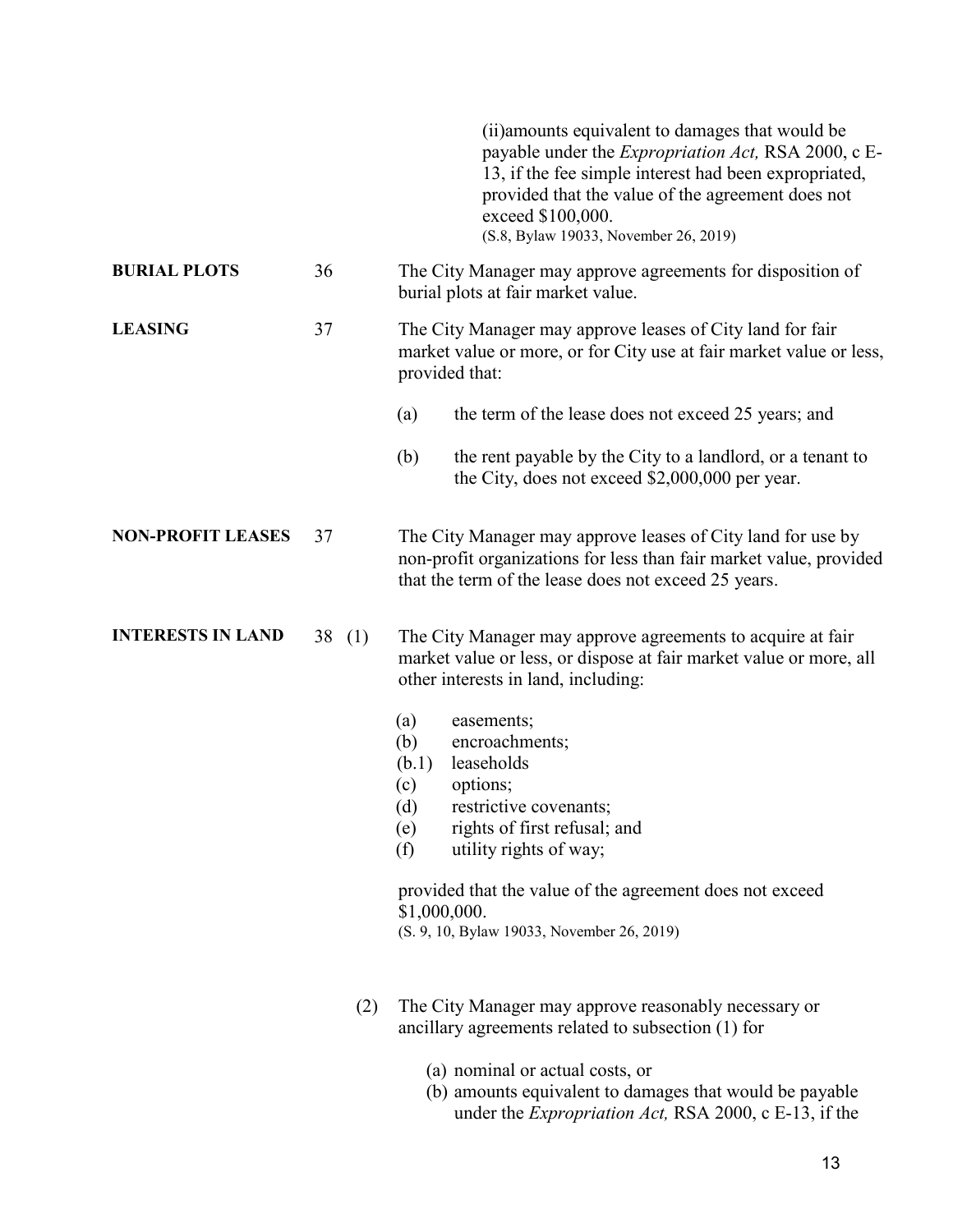|                          |          |     | (ii) amounts equivalent to damages that would be<br>payable under the <i>Expropriation Act</i> , RSA 2000, c E-<br>13, if the fee simple interest had been expropriated,<br>provided that the value of the agreement does not<br>exceed \$100,000.<br>(S.8, Bylaw 19033, November 26, 2019)                                            |
|--------------------------|----------|-----|----------------------------------------------------------------------------------------------------------------------------------------------------------------------------------------------------------------------------------------------------------------------------------------------------------------------------------------|
| <b>BURIAL PLOTS</b>      | 36       |     | The City Manager may approve agreements for disposition of<br>burial plots at fair market value.                                                                                                                                                                                                                                       |
| <b>LEASING</b>           | 37       |     | The City Manager may approve leases of City land for fair<br>market value or more, or for City use at fair market value or less,<br>provided that:                                                                                                                                                                                     |
|                          |          |     | (a)<br>the term of the lease does not exceed 25 years; and                                                                                                                                                                                                                                                                             |
|                          |          |     | (b)<br>the rent payable by the City to a landlord, or a tenant to<br>the City, does not exceed \$2,000,000 per year.                                                                                                                                                                                                                   |
| <b>NON-PROFIT LEASES</b> | 37       |     | The City Manager may approve leases of City land for use by<br>non-profit organizations for less than fair market value, provided<br>that the term of the lease does not exceed 25 years.                                                                                                                                              |
| <b>INTERESTS IN LAND</b> | 38 $(1)$ |     | The City Manager may approve agreements to acquire at fair<br>market value or less, or dispose at fair market value or more, all<br>other interests in land, including:                                                                                                                                                                |
|                          |          |     | (a)<br>easements;<br>encroachments;<br>(b)<br>leaseholds<br>(b.1)<br>options;<br>(c)<br>$\left( d \right)$<br>restrictive covenants;<br>rights of first refusal; and<br>(e)<br>utility rights of way;<br>(f)<br>provided that the value of the agreement does not exceed<br>\$1,000,000.<br>(S. 9, 10, Bylaw 19033, November 26, 2019) |
|                          |          | (2) | The City Manager may approve reasonably necessary or<br>ancillary agreements related to subsection (1) for                                                                                                                                                                                                                             |

- (a) nominal or actual costs, or
- (b) amounts equivalent to damages that would be payable under the *Expropriation Act,* RSA 2000, c E-13, if the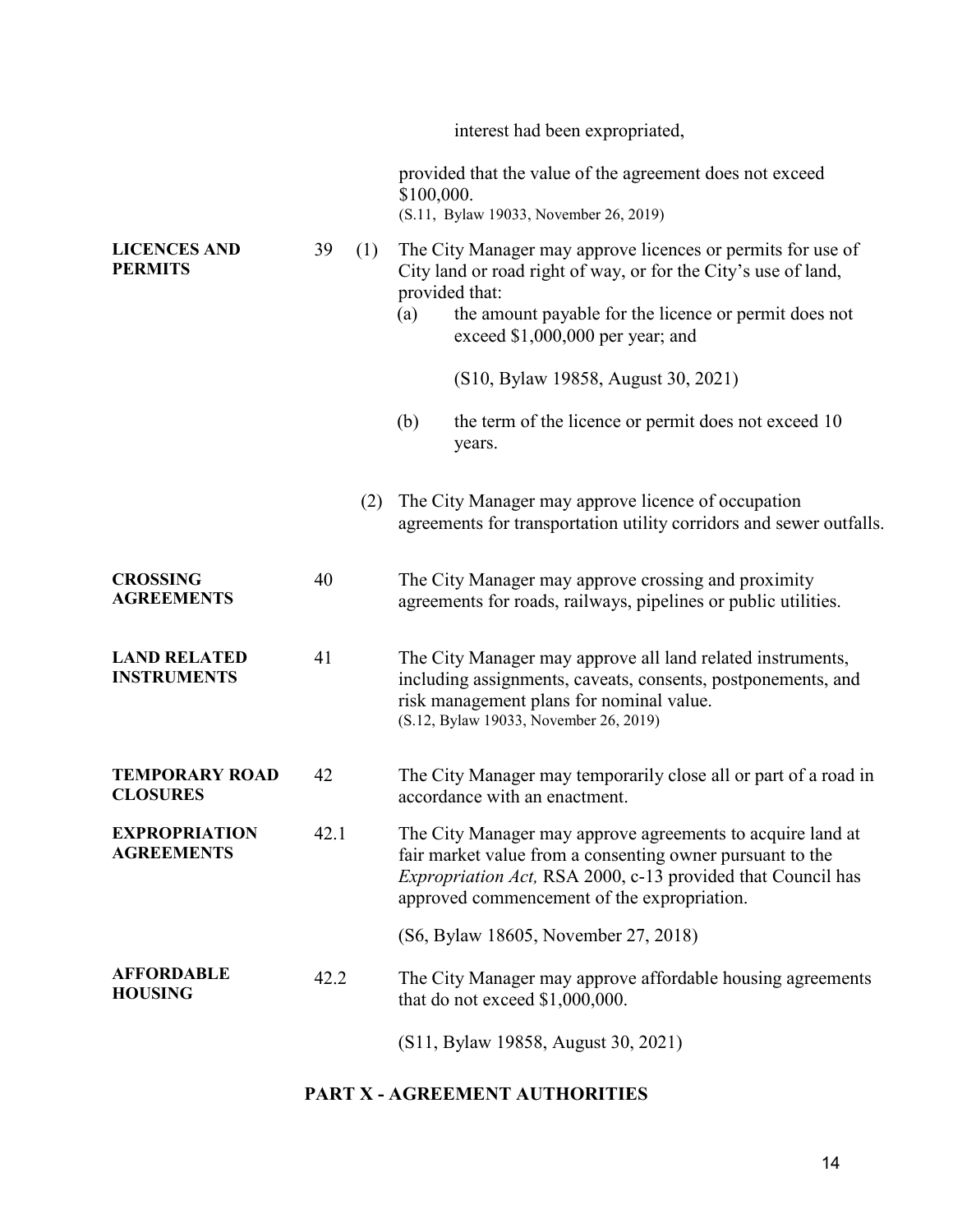|                                           |      |     | interest had been expropriated,                                                                                                                                                                                                                      |
|-------------------------------------------|------|-----|------------------------------------------------------------------------------------------------------------------------------------------------------------------------------------------------------------------------------------------------------|
|                                           |      |     | provided that the value of the agreement does not exceed<br>\$100,000.<br>(S.11, Bylaw 19033, November 26, 2019)                                                                                                                                     |
| <b>LICENCES AND</b><br><b>PERMITS</b>     | 39   | (1) | The City Manager may approve licences or permits for use of<br>City land or road right of way, or for the City's use of land,<br>provided that:<br>(a)<br>the amount payable for the licence or permit does not<br>exceed $$1,000,000$ per year; and |
|                                           |      |     | (S10, Bylaw 19858, August 30, 2021)                                                                                                                                                                                                                  |
|                                           |      |     | (b)<br>the term of the licence or permit does not exceed 10<br>years.                                                                                                                                                                                |
|                                           |      | (2) | The City Manager may approve licence of occupation<br>agreements for transportation utility corridors and sewer outfalls.                                                                                                                            |
| <b>CROSSING</b><br><b>AGREEMENTS</b>      | 40   |     | The City Manager may approve crossing and proximity<br>agreements for roads, railways, pipelines or public utilities.                                                                                                                                |
| <b>LAND RELATED</b><br><b>INSTRUMENTS</b> | 41   |     | The City Manager may approve all land related instruments,<br>including assignments, caveats, consents, postponements, and<br>risk management plans for nominal value.<br>(S.12, Bylaw 19033, November 26, 2019)                                     |
| <b>TEMPORARY ROAD</b><br><b>CLOSURES</b>  | 42   |     | The City Manager may temporarily close all or part of a road in<br>accordance with an enactment.                                                                                                                                                     |
| <b>EXPROPRIATION</b><br><b>AGREEMENTS</b> | 42.1 |     | The City Manager may approve agreements to acquire land at<br>fair market value from a consenting owner pursuant to the<br>Expropriation Act, RSA 2000, c-13 provided that Council has<br>approved commencement of the expropriation.                |
|                                           |      |     | (S6, Bylaw 18605, November 27, 2018)                                                                                                                                                                                                                 |
| <b>AFFORDABLE</b><br><b>HOUSING</b>       | 42.2 |     | The City Manager may approve affordable housing agreements<br>that do not exceed \$1,000,000.                                                                                                                                                        |
|                                           |      |     | (S11, Bylaw 19858, August 30, 2021)                                                                                                                                                                                                                  |

## **PART X - AGREEMENT AUTHORITIES**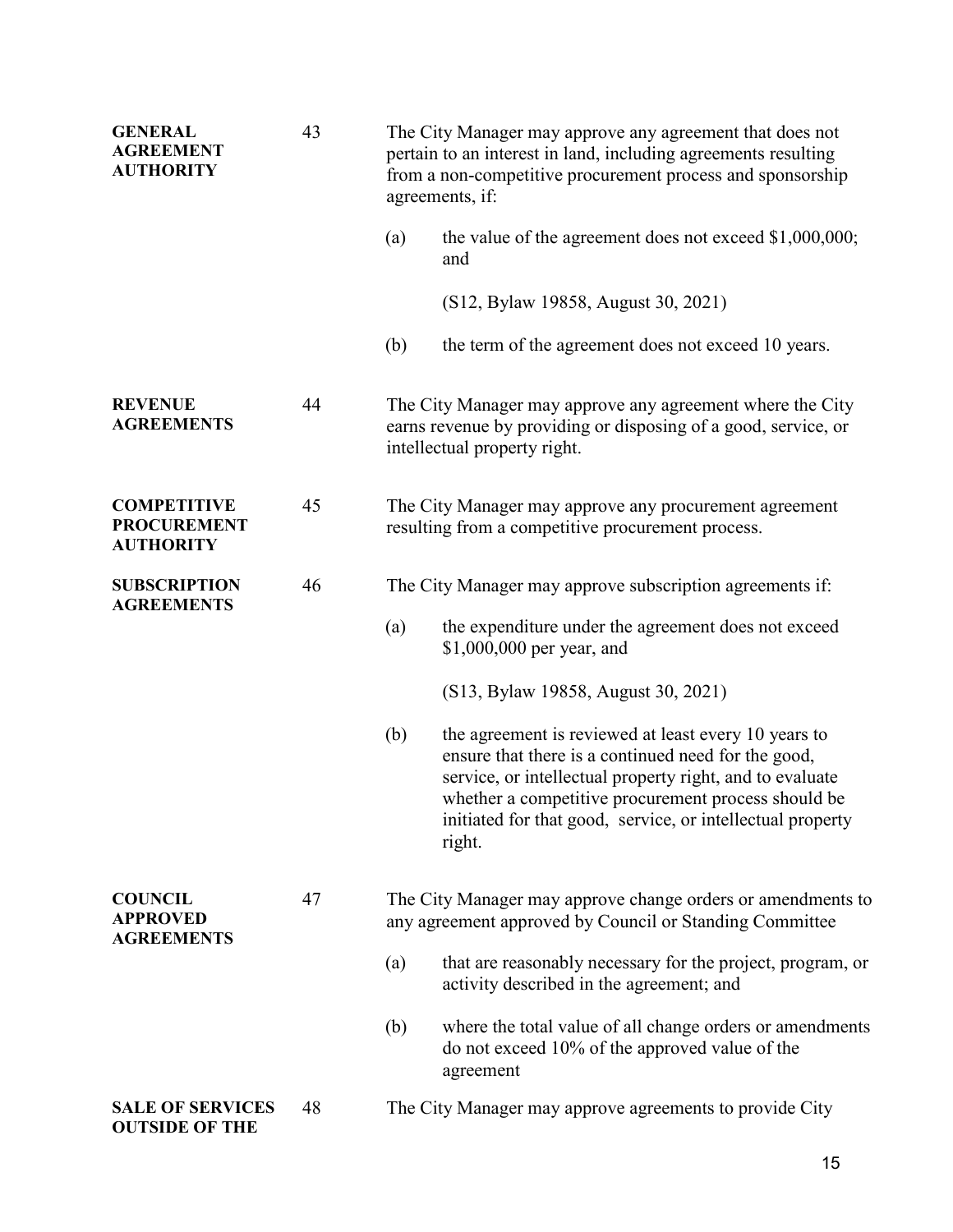| <b>GENERAL</b><br><b>AGREEMENT</b><br><b>AUTHORITY</b>       | 43 | The City Manager may approve any agreement that does not<br>pertain to an interest in land, including agreements resulting<br>from a non-competitive procurement process and sponsorship<br>agreements, if: |                                                                                                                                                                                                                                                                                                        |  |  |
|--------------------------------------------------------------|----|-------------------------------------------------------------------------------------------------------------------------------------------------------------------------------------------------------------|--------------------------------------------------------------------------------------------------------------------------------------------------------------------------------------------------------------------------------------------------------------------------------------------------------|--|--|
|                                                              |    | (a)                                                                                                                                                                                                         | the value of the agreement does not exceed $$1,000,000;$<br>and                                                                                                                                                                                                                                        |  |  |
|                                                              |    |                                                                                                                                                                                                             | (S12, Bylaw 19858, August 30, 2021)                                                                                                                                                                                                                                                                    |  |  |
|                                                              |    | (b)                                                                                                                                                                                                         | the term of the agreement does not exceed 10 years.                                                                                                                                                                                                                                                    |  |  |
| <b>REVENUE</b><br><b>AGREEMENTS</b>                          | 44 |                                                                                                                                                                                                             | The City Manager may approve any agreement where the City<br>earns revenue by providing or disposing of a good, service, or<br>intellectual property right.                                                                                                                                            |  |  |
| <b>COMPETITIVE</b><br><b>PROCUREMENT</b><br><b>AUTHORITY</b> | 45 |                                                                                                                                                                                                             | The City Manager may approve any procurement agreement<br>resulting from a competitive procurement process.                                                                                                                                                                                            |  |  |
| <b>SUBSCRIPTION</b><br><b>AGREEMENTS</b>                     | 46 | The City Manager may approve subscription agreements if:                                                                                                                                                    |                                                                                                                                                                                                                                                                                                        |  |  |
|                                                              |    | (a)                                                                                                                                                                                                         | the expenditure under the agreement does not exceed<br>\$1,000,000 per year, and                                                                                                                                                                                                                       |  |  |
|                                                              |    |                                                                                                                                                                                                             | (S13, Bylaw 19858, August 30, 2021)                                                                                                                                                                                                                                                                    |  |  |
|                                                              |    | (b)                                                                                                                                                                                                         | the agreement is reviewed at least every 10 years to<br>ensure that there is a continued need for the good,<br>service, or intellectual property right, and to evaluate<br>whether a competitive procurement process should be<br>initiated for that good, service, or intellectual property<br>right. |  |  |
| <b>COUNCIL</b><br><b>APPROVED</b><br><b>AGREEMENTS</b>       | 47 | The City Manager may approve change orders or amendments to<br>any agreement approved by Council or Standing Committee                                                                                      |                                                                                                                                                                                                                                                                                                        |  |  |
|                                                              |    | (a)                                                                                                                                                                                                         | that are reasonably necessary for the project, program, or<br>activity described in the agreement; and                                                                                                                                                                                                 |  |  |
|                                                              |    | (b)                                                                                                                                                                                                         | where the total value of all change orders or amendments<br>do not exceed 10% of the approved value of the<br>agreement                                                                                                                                                                                |  |  |
| <b>SALE OF SERVICES</b><br><b>OUTSIDE OF THE</b>             | 48 |                                                                                                                                                                                                             | The City Manager may approve agreements to provide City                                                                                                                                                                                                                                                |  |  |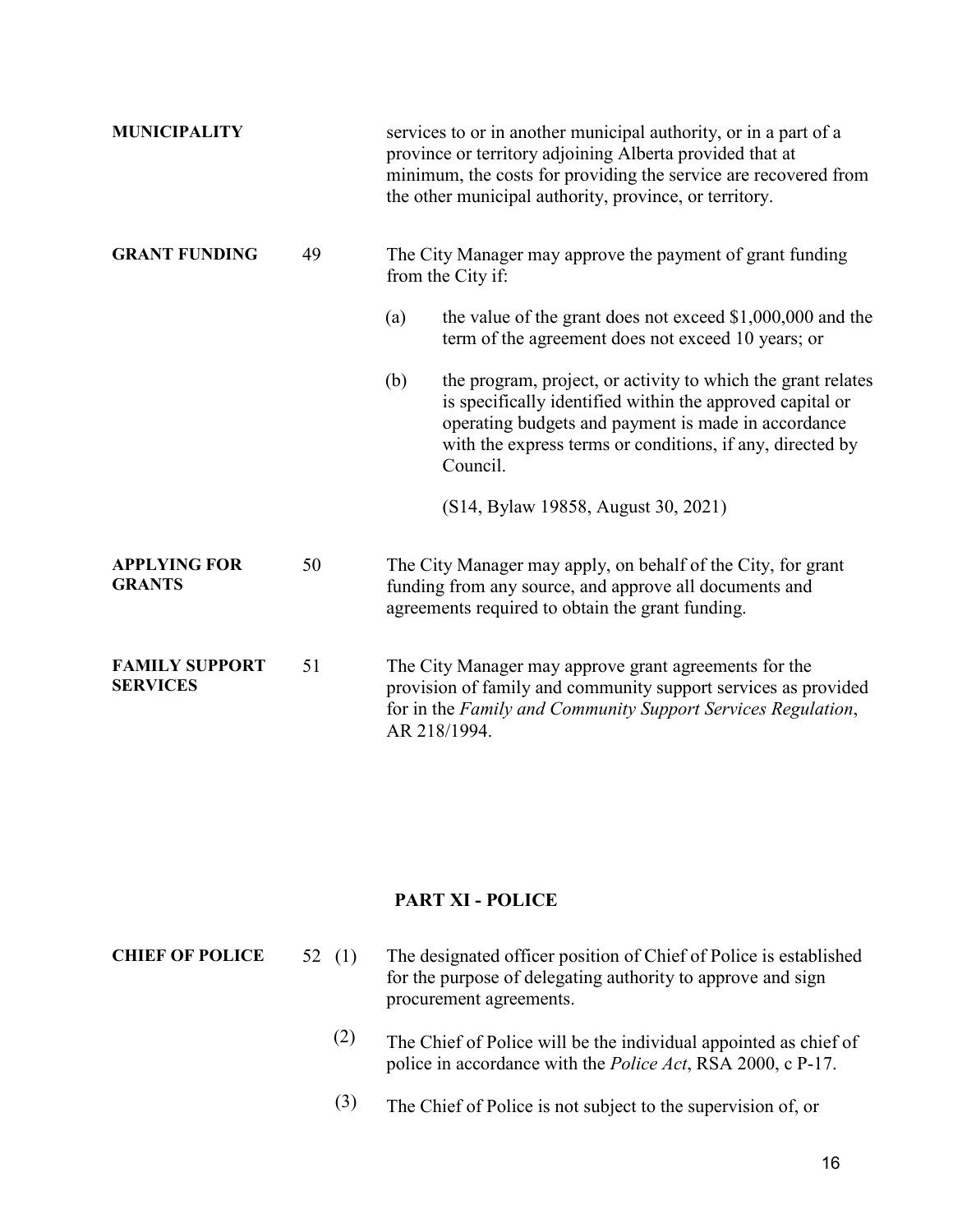| <b>MUNICIPALITY</b>                      |    |              | services to or in another municipal authority, or in a part of a<br>province or territory adjoining Alberta provided that at<br>minimum, the costs for providing the service are recovered from<br>the other municipal authority, province, or territory. |
|------------------------------------------|----|--------------|-----------------------------------------------------------------------------------------------------------------------------------------------------------------------------------------------------------------------------------------------------------|
| <b>GRANT FUNDING</b>                     | 49 |              | The City Manager may approve the payment of grant funding<br>from the City if:                                                                                                                                                                            |
|                                          |    | (a)          | the value of the grant does not exceed $$1,000,000$ and the<br>term of the agreement does not exceed 10 years; or                                                                                                                                         |
|                                          |    | (b)          | the program, project, or activity to which the grant relates<br>is specifically identified within the approved capital or<br>operating budgets and payment is made in accordance<br>with the express terms or conditions, if any, directed by<br>Council. |
|                                          |    |              | (S14, Bylaw 19858, August 30, 2021)                                                                                                                                                                                                                       |
| <b>APPLYING FOR</b><br><b>GRANTS</b>     | 50 |              | The City Manager may apply, on behalf of the City, for grant<br>funding from any source, and approve all documents and<br>agreements required to obtain the grant funding.                                                                                |
| <b>FAMILY SUPPORT</b><br><b>SERVICES</b> | 51 | AR 218/1994. | The City Manager may approve grant agreements for the<br>provision of family and community support services as provided<br>for in the Family and Community Support Services Regulation,                                                                   |

## **PART XI - POLICE**

**CHIEF OF POLICE** 52 (1) The designated officer position of Chief of Police is established for the purpose of delegating authority to approve and sign procurement agreements.

- (2) The Chief of Police will be the individual appointed as chief of police in accordance with the *Police Act*, RSA 2000, c P-17.
- (3) The Chief of Police is not subject to the supervision of, or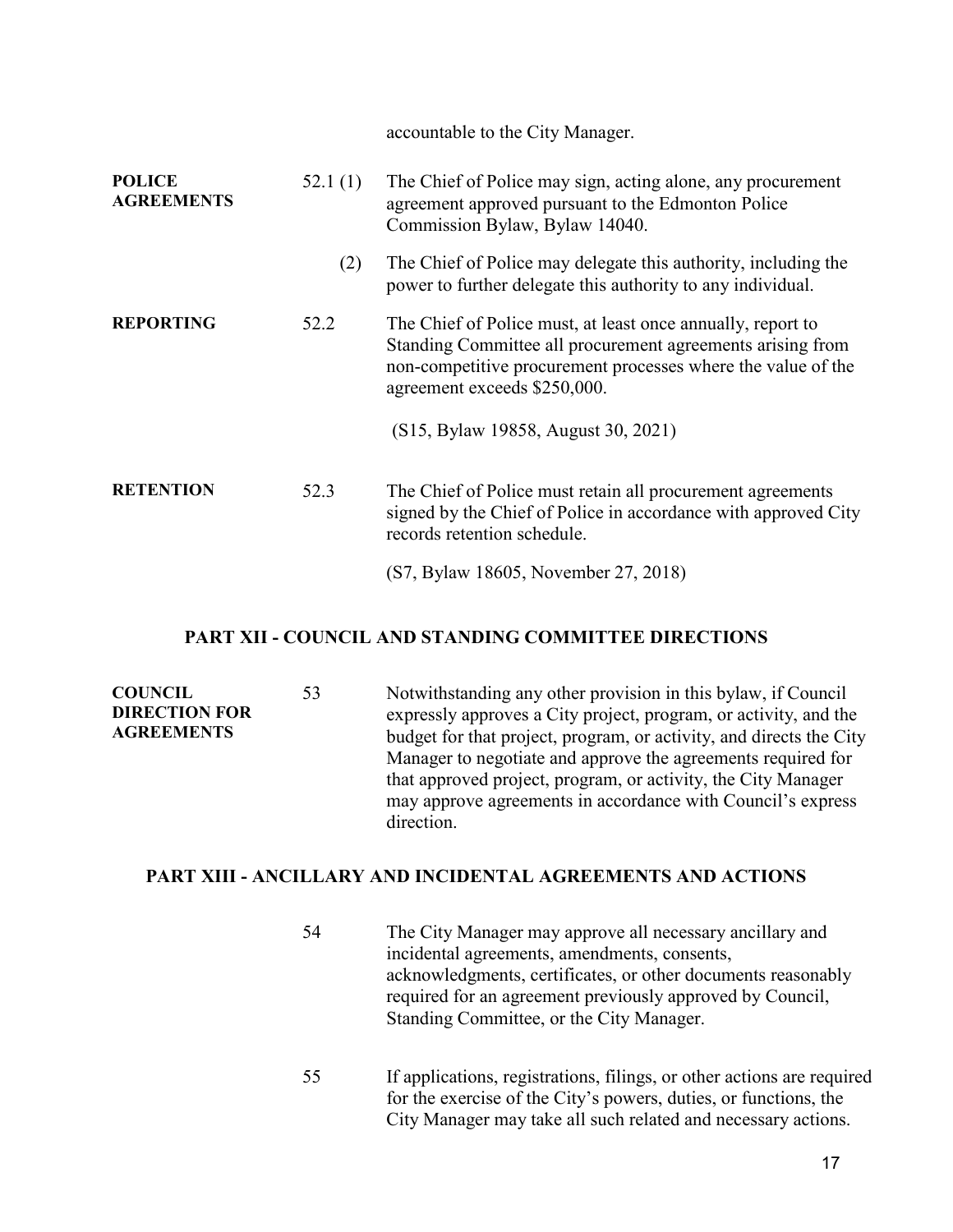accountable to the City Manager.

| <b>POLICE</b><br><b>AGREEMENTS</b> | 52.1(1) | The Chief of Police may sign, acting alone, any procurement<br>agreement approved pursuant to the Edmonton Police<br>Commission Bylaw, Bylaw 14040.                                                                       |
|------------------------------------|---------|---------------------------------------------------------------------------------------------------------------------------------------------------------------------------------------------------------------------------|
|                                    | (2)     | The Chief of Police may delegate this authority, including the<br>power to further delegate this authority to any individual.                                                                                             |
| <b>REPORTING</b>                   | 52.2    | The Chief of Police must, at least once annually, report to<br>Standing Committee all procurement agreements arising from<br>non-competitive procurement processes where the value of the<br>agreement exceeds \$250,000. |
|                                    |         | (S15, Bylaw 19858, August 30, 2021)                                                                                                                                                                                       |
| <b>RETENTION</b>                   | 52.3    | The Chief of Police must retain all procurement agreements<br>signed by the Chief of Police in accordance with approved City<br>records retention schedule.                                                               |
|                                    |         | (S7, Bylaw 18605, November 27, 2018)                                                                                                                                                                                      |

#### **PART XII - COUNCIL AND STANDING COMMITTEE DIRECTIONS**

| <b>COUNCIL</b>       | 53 | Notwithstanding any other provision in this bylaw, if Council       |
|----------------------|----|---------------------------------------------------------------------|
| <b>DIRECTION FOR</b> |    | expressly approves a City project, program, or activity, and the    |
| <b>AGREEMENTS</b>    |    | budget for that project, program, or activity, and directs the City |
|                      |    | Manager to negotiate and approve the agreements required for        |
|                      |    | that approved project, program, or activity, the City Manager       |
|                      |    | may approve agreements in accordance with Council's express         |
|                      |    | direction.                                                          |

## **PART XIII - ANCILLARY AND INCIDENTAL AGREEMENTS AND ACTIONS**

| 54 | The City Manager may approve all necessary ancillary and<br>incidental agreements, amendments, consents,<br>acknowledgments, certificates, or other documents reasonably<br>required for an agreement previously approved by Council,<br>Standing Committee, or the City Manager. |
|----|-----------------------------------------------------------------------------------------------------------------------------------------------------------------------------------------------------------------------------------------------------------------------------------|
|    | $\cdots$ . The contract of the contract of the contract of the contract of the contract of the contract of the contract of the contract of the contract of the contract of the contract of the contract of the contract of the c                                                  |

55 If applications, registrations, filings, or other actions are required for the exercise of the City's powers, duties, or functions, the City Manager may take all such related and necessary actions.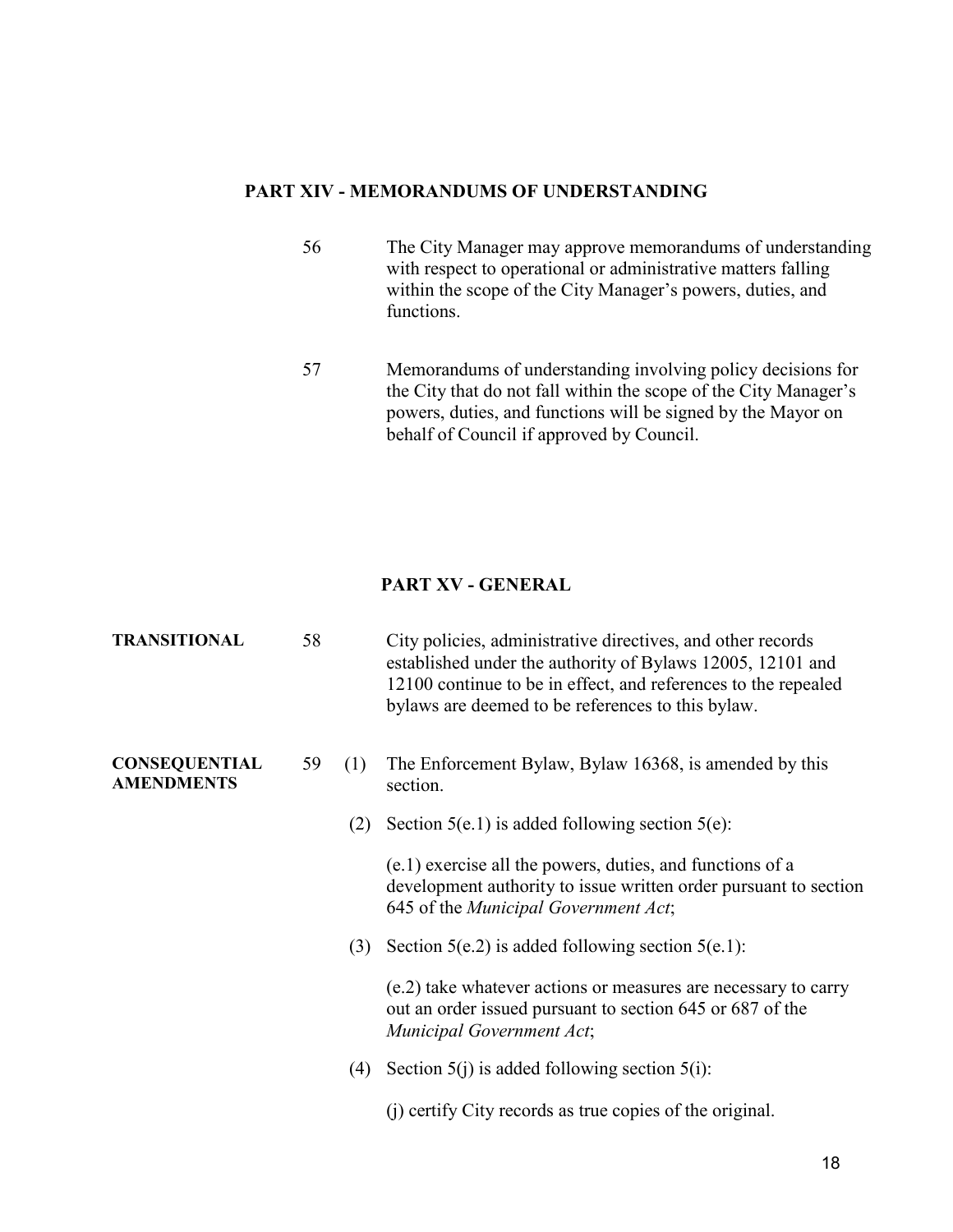#### **PART XIV - MEMORANDUMS OF UNDERSTANDING**

- 56 The City Manager may approve memorandums of understanding with respect to operational or administrative matters falling within the scope of the City Manager's powers, duties, and functions.
- 57 Memorandums of understanding involving policy decisions for the City that do not fall within the scope of the City Manager's powers, duties, and functions will be signed by the Mayor on behalf of Council if approved by Council.

#### **PART XV - GENERAL**

| <b>TRANSITIONAL</b>                       | 58 |     | City policies, administrative directives, and other records<br>established under the authority of Bylaws 12005, 12101 and<br>12100 continue to be in effect, and references to the repealed<br>bylaws are deemed to be references to this bylaw. |
|-------------------------------------------|----|-----|--------------------------------------------------------------------------------------------------------------------------------------------------------------------------------------------------------------------------------------------------|
| <b>CONSEQUENTIAL</b><br><b>AMENDMENTS</b> | 59 | (1) | The Enforcement Bylaw, Bylaw 16368, is amended by this<br>section.                                                                                                                                                                               |
|                                           |    | (2) | Section $5(e.1)$ is added following section $5(e)$ :                                                                                                                                                                                             |
|                                           |    |     | (e.1) exercise all the powers, duties, and functions of a<br>development authority to issue written order pursuant to section<br>645 of the Municipal Government Act;                                                                            |
|                                           |    | (3) | Section $5(e.2)$ is added following section $5(e.1)$ :                                                                                                                                                                                           |
|                                           |    |     | (e.2) take whatever actions or measures are necessary to carry<br>out an order issued pursuant to section 645 or 687 of the<br>Municipal Government Act;                                                                                         |
|                                           |    | (4) | Section $5(i)$ is added following section $5(i)$ :                                                                                                                                                                                               |
|                                           |    |     | (j) certify City records as true copies of the original.                                                                                                                                                                                         |